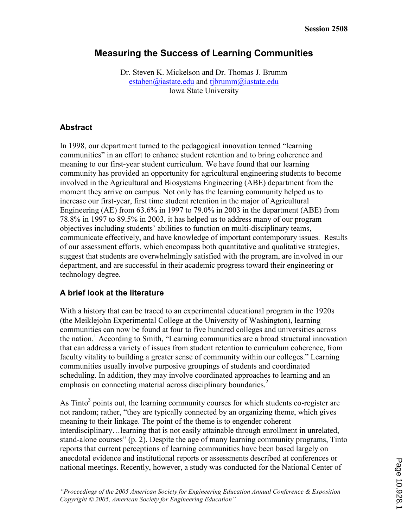# Measuring the Success of Learning Communities

Dr. Steven K. Mickelson and Dr. Thomas J. Brumm estaben@iastate.edu and tibrumm@iastate.edu Iowa State University

## Abstract

In 1998, our department turned to the pedagogical innovation termed "learning communities" in an effort to enhance student retention and to bring coherence and meaning to our first-year student curriculum. We have found that our learning community has provided an opportunity for agricultural engineering students to become involved in the Agricultural and Biosystems Engineering (ABE) department from the moment they arrive on campus. Not only has the learning community helped us to increase our first-year, first time student retention in the major of Agricultural Engineering (AE) from 63.6% in 1997 to 79.0% in 2003 in the department (ABE) from 78.8% in 1997 to 89.5% in 2003, it has helped us to address many of our program objectives including students' abilities to function on multi-disciplinary teams, communicate effectively, and have knowledge of important contemporary issues. Results of our assessment efforts, which encompass both quantitative and qualitative strategies, suggest that students are overwhelmingly satisfied with the program, are involved in our department, and are successful in their academic progress toward their engineering or technology degree.

# A brief look at the literature

With a history that can be traced to an experimental educational program in the 1920s (the Meiklejohn Experimental College at the University of Washington), learning communities can now be found at four to five hundred colleges and universities across the nation.<sup>1</sup> According to Smith, "Learning communities are a broad structural innovation that can address a variety of issues from student retention to curriculum coherence, from faculty vitality to building a greater sense of community within our colleges." Learning communities usually involve purposive groupings of students and coordinated scheduling. In addition, they may involve coordinated approaches to learning and an emphasis on connecting material across disciplinary boundaries.<sup>2</sup>

As Tinto<sup>3</sup> points out, the learning community courses for which students co-register are not random; rather, "they are typically connected by an organizing theme, which gives meaning to their linkage. The point of the theme is to engender coherent interdisciplinary…learning that is not easily attainable through enrollment in unrelated, stand-alone courses" (p. 2). Despite the age of many learning community programs, Tinto reports that current perceptions of learning communities have been based largely on anecdotal evidence and institutional reports or assessments described at conferences or national meetings. Recently, however, a study was conducted for the National Center of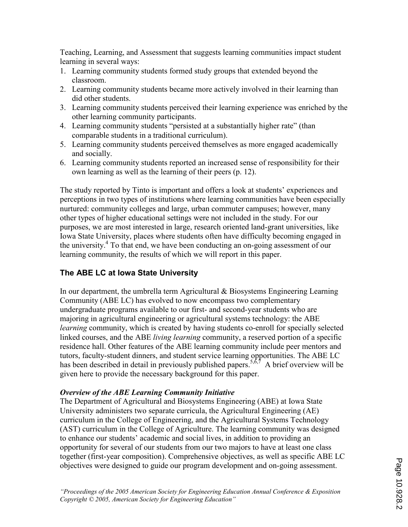Teaching, Learning, and Assessment that suggests learning communities impact student learning in several ways:

- 1. Learning community students formed study groups that extended beyond the classroom.
- 2. Learning community students became more actively involved in their learning than did other students.
- 3. Learning community students perceived their learning experience was enriched by the other learning community participants.
- 4. Learning community students "persisted at a substantially higher rate" (than comparable students in a traditional curriculum).
- 5. Learning community students perceived themselves as more engaged academically and socially.
- 6. Learning community students reported an increased sense of responsibility for their own learning as well as the learning of their peers (p. 12).

The study reported by Tinto is important and offers a look at students' experiences and perceptions in two types of institutions where learning communities have been especially nurtured: community colleges and large, urban commuter campuses; however, many other types of higher educational settings were not included in the study. For our purposes, we are most interested in large, research oriented land-grant universities, like Iowa State University, places where students often have difficulty becoming engaged in the university.<sup>4</sup> To that end, we have been conducting an on-going assessment of our learning community, the results of which we will report in this paper.

# The ABE LC at Iowa State University

In our department, the umbrella term Agricultural & Biosystems Engineering Learning Community (ABE LC) has evolved to now encompass two complementary undergraduate programs available to our first- and second-year students who are majoring in agricultural engineering or agricultural systems technology: the ABE learning community, which is created by having students co-enroll for specially selected linked courses, and the ABE living learning community, a reserved portion of a specific residence hall. Other features of the ABE learning community include peer mentors and tutors, faculty-student dinners, and student service learning opportunities. The ABE LC has been described in detail in previously published papers.<sup>5,6,7</sup> A brief overview will be given here to provide the necessary background for this paper.

#### Overview of the ABE Learning Community Initiative

The Department of Agricultural and Biosystems Engineering (ABE) at Iowa State University administers two separate curricula, the Agricultural Engineering (AE) curriculum in the College of Engineering, and the Agricultural Systems Technology (AST) curriculum in the College of Agriculture. The learning community was designed to enhance our students' academic and social lives, in addition to providing an opportunity for several of our students from our two majors to have at least one class together (first-year composition). Comprehensive objectives, as well as specific ABE LC objectives were designed to guide our program development and on-going assessment.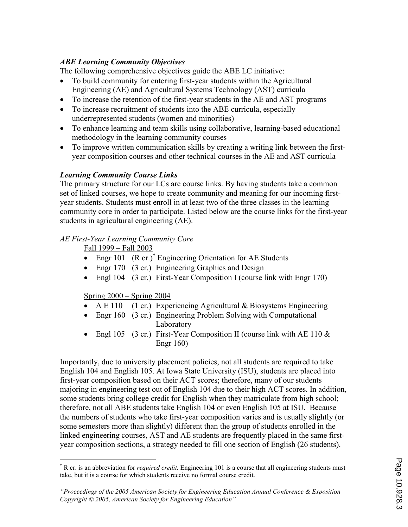## ABE Learning Community Objectives

The following comprehensive objectives guide the ABE LC initiative:

- To build community for entering first-year students within the Agricultural Engineering (AE) and Agricultural Systems Technology (AST) curricula
- To increase the retention of the first-year students in the AE and AST programs
- To increase recruitment of students into the ABE curricula, especially underrepresented students (women and minorities)
- To enhance learning and team skills using collaborative, learning-based educational methodology in the learning community courses
- To improve written communication skills by creating a writing link between the firstyear composition courses and other technical courses in the AE and AST curricula

#### Learning Community Course Links

The primary structure for our LCs are course links. By having students take a common set of linked courses, we hope to create community and meaning for our incoming firstyear students. Students must enroll in at least two of the three classes in the learning community core in order to participate. Listed below are the course links for the first-year students in agricultural engineering (AE).

#### AE First-Year Learning Community Core

Fall 1999 – Fall 2003

- Engr 101  $(R \text{ cr.})^{\dagger}$  Engineering Orientation for AE Students
- Engr 170 (3 cr.) Engineering Graphics and Design
- Engl 104 (3 cr.) First-Year Composition I (course link with Engr 170)

#### Spring 2000 – Spring 2004

- A E 110 (1 cr.) Experiencing Agricultural  $\&$  Biosystems Engineering
- Engr 160 (3 cr.) Engineering Problem Solving with Computational Laboratory
- Engl 105 (3 cr.) First-Year Composition II (course link with AE 110  $\&$ Engr 160)

Importantly, due to university placement policies, not all students are required to take English 104 and English 105. At Iowa State University (ISU), students are placed into first-year composition based on their ACT scores; therefore, many of our students majoring in engineering test out of English 104 due to their high ACT scores. In addition, some students bring college credit for English when they matriculate from high school; therefore, not all ABE students take English 104 or even English 105 at ISU. Because the numbers of students who take first-year composition varies and is usually slightly (or some semesters more than slightly) different than the group of students enrolled in the linked engineering courses, AST and AE students are frequently placed in the same firstyear composition sections, a strategy needed to fill one section of English (26 students).

 $\overline{a}$ <sup>†</sup> R cr. is an abbreviation for *required credit*. Engineering 101 is a course that all engineering students must take, but it is a course for which students receive no formal course credit.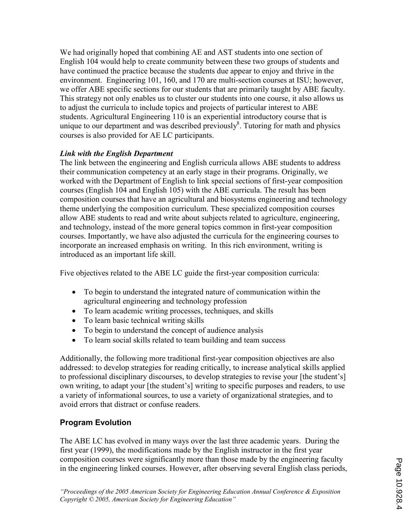We had originally hoped that combining AE and AST students into one section of English 104 would help to create community between these two groups of students and have continued the practice because the students due appear to enjoy and thrive in the environment. Engineering 101, 160, and 170 are multi-section courses at ISU; however, we offer ABE specific sections for our students that are primarily taught by ABE faculty. This strategy not only enables us to cluster our students into one course, it also allows us to adjust the curricula to include topics and projects of particular interest to ABE students. Agricultural Engineering 110 is an experiential introductory course that is unique to our department and was described previously $\delta$ . Tutoring for math and physics courses is also provided for AE LC participants.

# Link with the English Department

The link between the engineering and English curricula allows ABE students to address their communication competency at an early stage in their programs. Originally, we worked with the Department of English to link special sections of first-year composition courses (English 104 and English 105) with the ABE curricula. The result has been composition courses that have an agricultural and biosystems engineering and technology theme underlying the composition curriculum. These specialized composition courses allow ABE students to read and write about subjects related to agriculture, engineering, and technology, instead of the more general topics common in first-year composition courses. Importantly, we have also adjusted the curricula for the engineering courses to incorporate an increased emphasis on writing. In this rich environment, writing is introduced as an important life skill.

Five objectives related to the ABE LC guide the first-year composition curricula:

- To begin to understand the integrated nature of communication within the agricultural engineering and technology profession
- To learn academic writing processes, techniques, and skills
- To learn basic technical writing skills
- To begin to understand the concept of audience analysis
- To learn social skills related to team building and team success

Additionally, the following more traditional first-year composition objectives are also addressed: to develop strategies for reading critically, to increase analytical skills applied to professional disciplinary discourses, to develop strategies to revise your [the student's] own writing, to adapt your [the student's] writing to specific purposes and readers, to use a variety of informational sources, to use a variety of organizational strategies, and to avoid errors that distract or confuse readers.

# Program Evolution

The ABE LC has evolved in many ways over the last three academic years. During the first year (1999), the modifications made by the English instructor in the first year composition courses were significantly more than those made by the engineering faculty in the engineering linked courses. However, after observing several English class periods,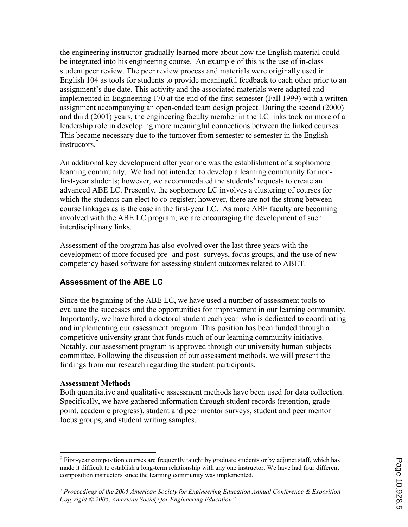the engineering instructor gradually learned more about how the English material could be integrated into his engineering course. An example of this is the use of in-class student peer review. The peer review process and materials were originally used in English 104 as tools for students to provide meaningful feedback to each other prior to an assignment's due date. This activity and the associated materials were adapted and implemented in Engineering 170 at the end of the first semester (Fall 1999) with a written assignment accompanying an open-ended team design project. During the second (2000) and third (2001) years, the engineering faculty member in the LC links took on more of a leadership role in developing more meaningful connections between the linked courses. This became necessary due to the turnover from semester to semester in the English instructors.‡

An additional key development after year one was the establishment of a sophomore learning community. We had not intended to develop a learning community for nonfirst-year students; however, we accommodated the students' requests to create an advanced ABE LC. Presently, the sophomore LC involves a clustering of courses for which the students can elect to co-register; however, there are not the strong betweencourse linkages as is the case in the first-year LC. As more ABE faculty are becoming involved with the ABE LC program, we are encouraging the development of such interdisciplinary links.

Assessment of the program has also evolved over the last three years with the development of more focused pre- and post- surveys, focus groups, and the use of new competency based software for assessing student outcomes related to ABET.

# Assessment of the ABE LC

Since the beginning of the ABE LC, we have used a number of assessment tools to evaluate the successes and the opportunities for improvement in our learning community. Importantly, we have hired a doctoral student each year who is dedicated to coordinating and implementing our assessment program. This position has been funded through a competitive university grant that funds much of our learning community initiative. Notably, our assessment program is approved through our university human subjects committee. Following the discussion of our assessment methods, we will present the findings from our research regarding the student participants.

#### Assessment Methods

Both quantitative and qualitative assessment methods have been used for data collection. Specifically, we have gathered information through student records (retention, grade point, academic progress), student and peer mentor surveys, student and peer mentor focus groups, and student writing samples.

 ‡ First-year composition courses are frequently taught by graduate students or by adjunct staff, which has made it difficult to establish a long-term relationship with any one instructor. We have had four different composition instructors since the learning community was implemented.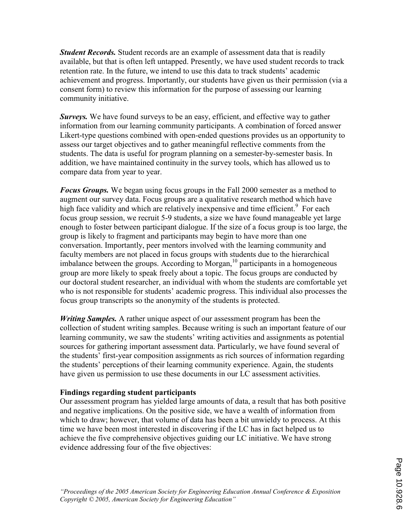**Student Records.** Student records are an example of assessment data that is readily available, but that is often left untapped. Presently, we have used student records to track retention rate. In the future, we intend to use this data to track students' academic achievement and progress. Importantly, our students have given us their permission (via a consent form) to review this information for the purpose of assessing our learning community initiative.

Surveys. We have found surveys to be an easy, efficient, and effective way to gather information from our learning community participants. A combination of forced answer Likert-type questions combined with open-ended questions provides us an opportunity to assess our target objectives and to gather meaningful reflective comments from the students. The data is useful for program planning on a semester-by-semester basis. In addition, we have maintained continuity in the survey tools, which has allowed us to compare data from year to year.

**Focus Groups.** We began using focus groups in the Fall 2000 semester as a method to augment our survey data. Focus groups are a qualitative research method which have high face validity and which are relatively inexpensive and time efficient.<sup>9</sup> For each focus group session, we recruit 5-9 students, a size we have found manageable yet large enough to foster between participant dialogue. If the size of a focus group is too large, the group is likely to fragment and participants may begin to have more than one conversation. Importantly, peer mentors involved with the learning community and faculty members are not placed in focus groups with students due to the hierarchical imbalance between the groups. According to Morgan, $^{10}$  participants in a homogeneous group are more likely to speak freely about a topic. The focus groups are conducted by our doctoral student researcher, an individual with whom the students are comfortable yet who is not responsible for students' academic progress. This individual also processes the focus group transcripts so the anonymity of the students is protected.

Writing Samples. A rather unique aspect of our assessment program has been the collection of student writing samples. Because writing is such an important feature of our learning community, we saw the students' writing activities and assignments as potential sources for gathering important assessment data. Particularly, we have found several of the students' first-year composition assignments as rich sources of information regarding the students' perceptions of their learning community experience. Again, the students have given us permission to use these documents in our LC assessment activities.

#### Findings regarding student participants

Our assessment program has yielded large amounts of data, a result that has both positive and negative implications. On the positive side, we have a wealth of information from which to draw; however, that volume of data has been a bit unwieldy to process. At this time we have been most interested in discovering if the LC has in fact helped us to achieve the five comprehensive objectives guiding our LC initiative. We have strong evidence addressing four of the five objectives: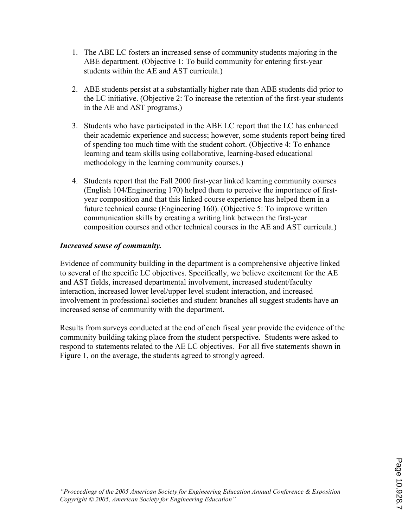- 1. The ABE LC fosters an increased sense of community students majoring in the ABE department. (Objective 1: To build community for entering first-year students within the AE and AST curricula.)
- 2. ABE students persist at a substantially higher rate than ABE students did prior to the LC initiative. (Objective 2: To increase the retention of the first-year students in the AE and AST programs.)
- 3. Students who have participated in the ABE LC report that the LC has enhanced their academic experience and success; however, some students report being tired of spending too much time with the student cohort. (Objective 4: To enhance learning and team skills using collaborative, learning-based educational methodology in the learning community courses.)
- 4. Students report that the Fall 2000 first-year linked learning community courses (English 104/Engineering 170) helped them to perceive the importance of firstyear composition and that this linked course experience has helped them in a future technical course (Engineering 160). (Objective 5: To improve written communication skills by creating a writing link between the first-year composition courses and other technical courses in the AE and AST curricula.)

## Increased sense of community.

Evidence of community building in the department is a comprehensive objective linked to several of the specific LC objectives. Specifically, we believe excitement for the AE and AST fields, increased departmental involvement, increased student/faculty interaction, increased lower level/upper level student interaction, and increased involvement in professional societies and student branches all suggest students have an increased sense of community with the department.

Results from surveys conducted at the end of each fiscal year provide the evidence of the community building taking place from the student perspective. Students were asked to respond to statements related to the AE LC objectives. For all five statements shown in Figure 1, on the average, the students agreed to strongly agreed.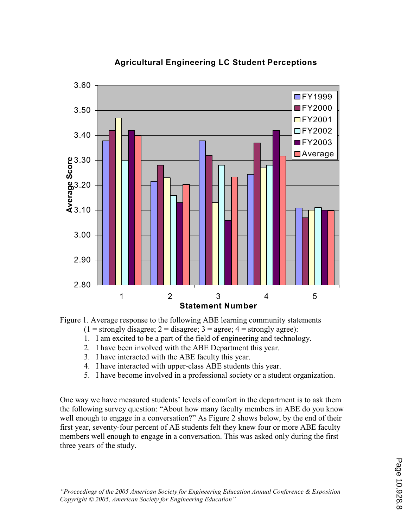

# Agricultural Engineering LC Student Perceptions

Figure 1. Average response to the following ABE learning community statements

 $(1 =$  strongly disagree;  $2 =$  disagree;  $3 =$  agree;  $4 =$  strongly agree):

- 1. I am excited to be a part of the field of engineering and technology.
- 2. I have been involved with the ABE Department this year.
- 3. I have interacted with the ABE faculty this year.
- 4. I have interacted with upper-class ABE students this year.
- 5. I have become involved in a professional society or a student organization.

One way we have measured students' levels of comfort in the department is to ask them the following survey question: "About how many faculty members in ABE do you know well enough to engage in a conversation?" As Figure 2 shows below, by the end of their first year, seventy-four percent of AE students felt they knew four or more ABE faculty members well enough to engage in a conversation. This was asked only during the first three years of the study.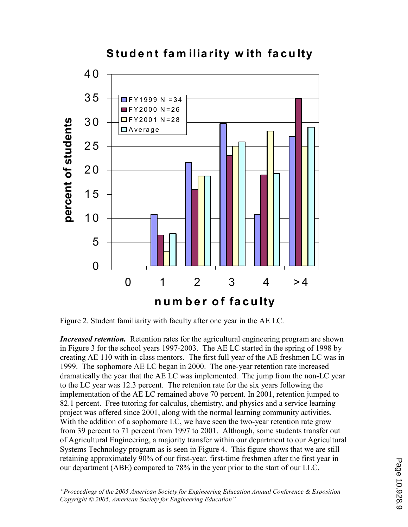

Student fam iliarity with faculty

Figure 2. Student familiarity with faculty after one year in the AE LC.

**Increased retention.** Retention rates for the agricultural engineering program are shown in Figure 3 for the school years 1997-2003. The AE LC started in the spring of 1998 by creating AE 110 with in-class mentors. The first full year of the AE freshmen LC was in 1999. The sophomore AE LC began in 2000. The one-year retention rate increased dramatically the year that the AE LC was implemented. The jump from the non-LC year to the LC year was 12.3 percent. The retention rate for the six years following the implementation of the AE LC remained above 70 percent. In 2001, retention jumped to 82.1 percent. Free tutoring for calculus, chemistry, and physics and a service learning project was offered since 2001, along with the normal learning community activities. With the addition of a sophomore LC, we have seen the two-year retention rate grow from 39 percent to 71 percent from 1997 to 2001. Although, some students transfer out of Agricultural Engineering, a majority transfer within our department to our Agricultural Systems Technology program as is seen in Figure 4. This figure shows that we are still retaining approximately 90% of our first-year, first-time freshmen after the first year in our department (ABE) compared to 78% in the year prior to the start of our LLC.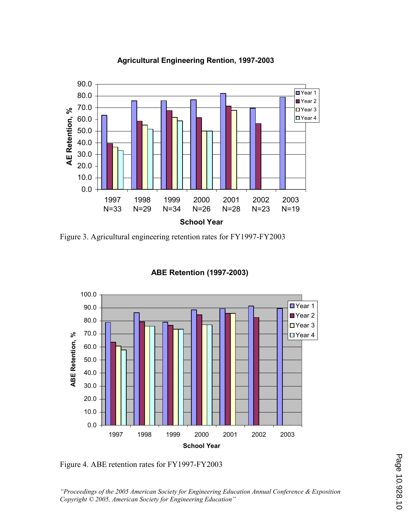#### 0.0 10.0 20.0 30.0 40.0 50.0 60.0  $\begin{array}{r} \text{70.0} \\ \text{8} \\ 60.0 \\ 50.0 \\ 40.0 \\ 30.0 \\ 20.0 \end{array}$ 80.0 90.0 1997 N=33 1998 N=29 1999 N=34 2000 N=26 2001 N=28 2002 N=23 2003 N=19 School Year Year 1 Year 2 ■Year 3 ■Year 4

Agricultural Engineering Rention, 1997-2003

Figure 3. Agricultural engineering retention rates for FY1997-FY2003



#### ABE Retention (1997-2003)

Figure 4. ABE retention rates for FY1997-FY2003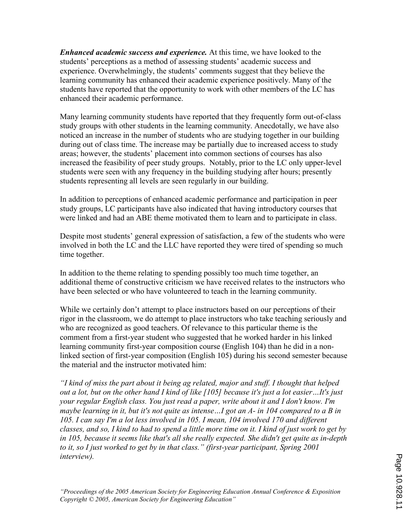**Enhanced academic success and experience.** At this time, we have looked to the students' perceptions as a method of assessing students' academic success and experience. Overwhelmingly, the students' comments suggest that they believe the learning community has enhanced their academic experience positively. Many of the students have reported that the opportunity to work with other members of the LC has enhanced their academic performance.

Many learning community students have reported that they frequently form out-of-class study groups with other students in the learning community. Anecdotally, we have also noticed an increase in the number of students who are studying together in our building during out of class time. The increase may be partially due to increased access to study areas; however, the students' placement into common sections of courses has also increased the feasibility of peer study groups. Notably, prior to the LC only upper-level students were seen with any frequency in the building studying after hours; presently students representing all levels are seen regularly in our building.

In addition to perceptions of enhanced academic performance and participation in peer study groups, LC participants have also indicated that having introductory courses that were linked and had an ABE theme motivated them to learn and to participate in class.

Despite most students' general expression of satisfaction, a few of the students who were involved in both the LC and the LLC have reported they were tired of spending so much time together.

In addition to the theme relating to spending possibly too much time together, an additional theme of constructive criticism we have received relates to the instructors who have been selected or who have volunteered to teach in the learning community.

While we certainly don't attempt to place instructors based on our perceptions of their rigor in the classroom, we do attempt to place instructors who take teaching seriously and who are recognized as good teachers. Of relevance to this particular theme is the comment from a first-year student who suggested that he worked harder in his linked learning community first-year composition course (English 104) than he did in a nonlinked section of first-year composition (English 105) during his second semester because the material and the instructor motivated him:

"I kind of miss the part about it being ag related, major and stuff. I thought that helped out a lot, but on the other hand I kind of like [105] because it's just a lot easier…It's just your regular English class. You just read a paper, write about it and I don't know. I'm maybe learning in it, but it's not quite as intense…I got an A- in 104 compared to a B in 105. I can say I'm a lot less involved in 105. I mean, 104 involved 170 and different classes, and so, I kind to had to spend a little more time on it. I kind of just work to get by in 105, because it seems like that's all she really expected. She didn't get quite as in-depth to it, so I just worked to get by in that class." (first-year participant, Spring 2001 interview).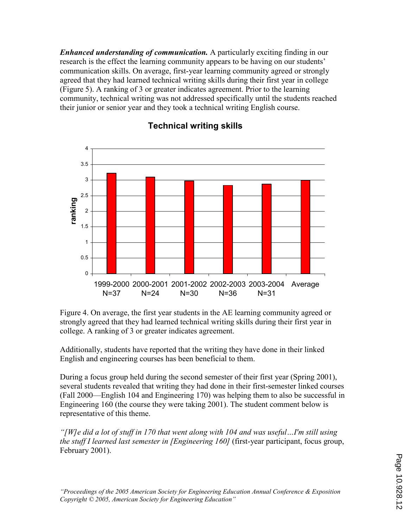**Enhanced understanding of communication.** A particularly exciting finding in our research is the effect the learning community appears to be having on our students' communication skills. On average, first-year learning community agreed or strongly agreed that they had learned technical writing skills during their first year in college (Figure 5). A ranking of 3 or greater indicates agreement. Prior to the learning community, technical writing was not addressed specifically until the students reached their junior or senior year and they took a technical writing English course.



# Technical writing skills

Figure 4. On average, the first year students in the AE learning community agreed or strongly agreed that they had learned technical writing skills during their first year in college. A ranking of 3 or greater indicates agreement.

Additionally, students have reported that the writing they have done in their linked English and engineering courses has been beneficial to them.

During a focus group held during the second semester of their first year (Spring 2001), several students revealed that writing they had done in their first-semester linked courses (Fall 2000—English 104 and Engineering 170) was helping them to also be successful in Engineering 160 (the course they were taking 2001). The student comment below is representative of this theme.

"[W]e did a lot of stuff in 170 that went along with 104 and was useful…I'm still using the stuff I learned last semester in [Engineering 160] (first-year participant, focus group, February 2001).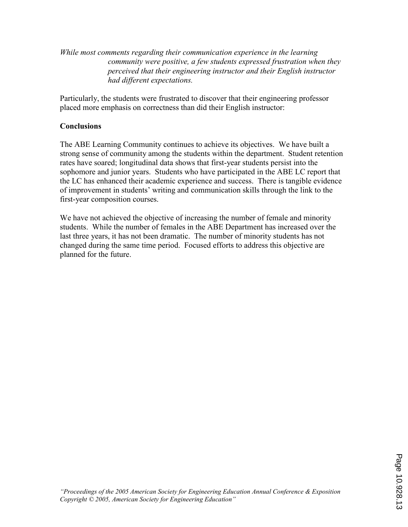While most comments regarding their communication experience in the learning community were positive, a few students expressed frustration when they perceived that their engineering instructor and their English instructor had different expectations.

Particularly, the students were frustrated to discover that their engineering professor placed more emphasis on correctness than did their English instructor:

## **Conclusions**

The ABE Learning Community continues to achieve its objectives. We have built a strong sense of community among the students within the department. Student retention rates have soared; longitudinal data shows that first-year students persist into the sophomore and junior years. Students who have participated in the ABE LC report that the LC has enhanced their academic experience and success. There is tangible evidence of improvement in students' writing and communication skills through the link to the first-year composition courses.

We have not achieved the objective of increasing the number of female and minority students. While the number of females in the ABE Department has increased over the last three years, it has not been dramatic. The number of minority students has not changed during the same time period. Focused efforts to address this objective are planned for the future.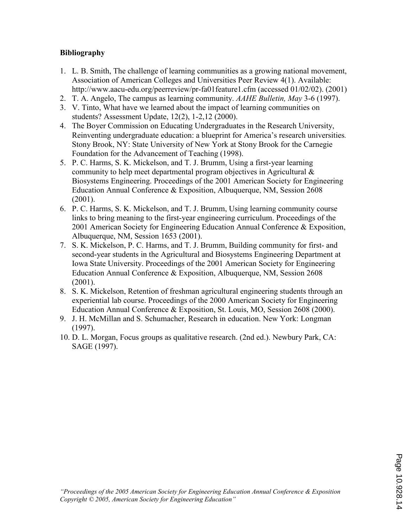## Bibliography

- 1. L. B. Smith, The challenge of learning communities as a growing national movement, Association of American Colleges and Universities Peer Review 4(1). Available: http://www.aacu-edu.org/peerreview/pr-fa01feature1.cfm (accessed 01/02/02). (2001)
- 2. T. A. Angelo, The campus as learning community. AAHE Bulletin, May 3-6 (1997).
- 3. V. Tinto, What have we learned about the impact of learning communities on students? Assessment Update, 12(2), 1-2,12 (2000).
- 4. The Boyer Commission on Educating Undergraduates in the Research University, Reinventing undergraduate education: a blueprint for America's research universities. Stony Brook, NY: State University of New York at Stony Brook for the Carnegie Foundation for the Advancement of Teaching (1998).
- 5. P. C. Harms, S. K. Mickelson, and T. J. Brumm, Using a first-year learning community to help meet departmental program objectives in Agricultural & Biosystems Engineering. Proceedings of the 2001 American Society for Engineering Education Annual Conference & Exposition, Albuquerque, NM, Session 2608 (2001).
- 6. P. C. Harms, S. K. Mickelson, and T. J. Brumm, Using learning community course links to bring meaning to the first-year engineering curriculum. Proceedings of the 2001 American Society for Engineering Education Annual Conference & Exposition, Albuquerque, NM, Session 1653 (2001).
- 7. S. K. Mickelson, P. C. Harms, and T. J. Brumm, Building community for first- and second-year students in the Agricultural and Biosystems Engineering Department at Iowa State University. Proceedings of the 2001 American Society for Engineering Education Annual Conference & Exposition, Albuquerque, NM, Session 2608 (2001).
- 8. S. K. Mickelson, Retention of freshman agricultural engineering students through an experiential lab course. Proceedings of the 2000 American Society for Engineering Education Annual Conference & Exposition, St. Louis, MO, Session 2608 (2000).
- 9. J. H. McMillan and S. Schumacher, Research in education. New York: Longman (1997).
- 10. D. L. Morgan, Focus groups as qualitative research. (2nd ed.). Newbury Park, CA: SAGE (1997).